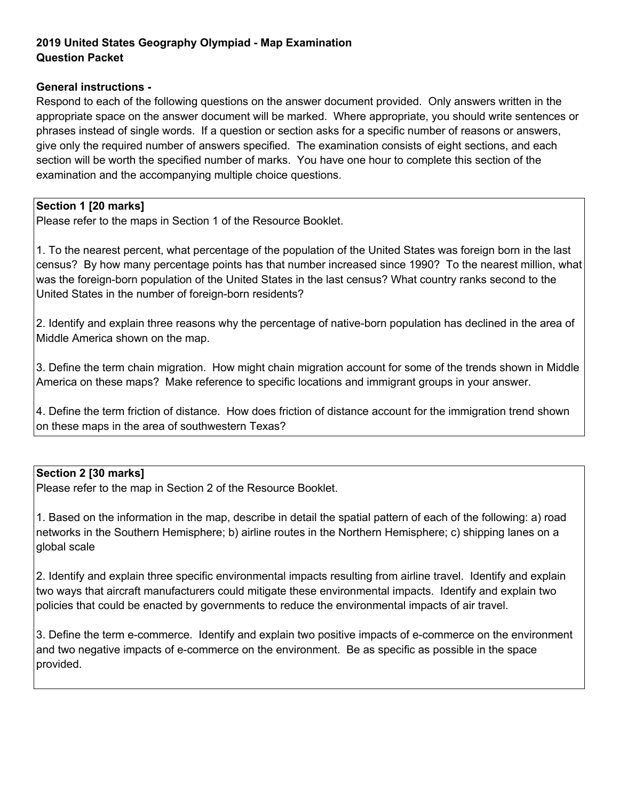## **2019 United States Geography Olympiad - Map Examination Question Packet**

#### **General instructions -**

Respond to each of the following questions on the answer document provided. Only answers written in the appropriate space on the answer document will be marked. Where appropriate, you should write sentences or phrases instead of single words. If a question or section asks for a specific number of reasons or answers, give only the required number of answers specified. The examination consists of eight sections, and each section will be worth the specified number of marks. You have one hour to complete this section of the examination and the accompanying multiple choice questions.

### **Section 1 [20 marks]**

Please refer to the maps in Section 1 of the Resource Booklet.

1. To the nearest percent, what percentage of the population of the United States was foreign born in the last census? By how many percentage points has that number increased since 1990? To the nearest million, what was the foreign-born population of the United States in the last census? What country ranks second to the United States in the number of foreign-born residents?

2. Identify and explain three reasons why the percentage of native-born population has declined in the area of Middle America shown on the map.

3. Define the term chain migration. How might chain migration account for some of the trends shown in Middle America on these maps? Make reference to specific locations and immigrant groups in your answer.

4. Define the term friction of distance. How does friction of distance account for the immigration trend shown on these maps in the area of southwestern Texas?

### **Section 2 [30 marks]**

Please refer to the map in Section 2 of the Resource Booklet.

1. Based on the information in the map, describe in detail the spatial pattern of each of the following: a) road networks in the Southern Hemisphere; b) airline routes in the Northern Hemisphere; c) shipping lanes on a global scale

2. Identify and explain three specific environmental impacts resulting from airline travel. Identify and explain two ways that aircraft manufacturers could mitigate these environmental impacts. Identify and explain two policies that could be enacted by governments to reduce the environmental impacts of air travel.

3. Define the term e-commerce. Identify and explain two positive impacts of e-commerce on the environment and two negative impacts of e-commerce on the environment. Be as specific as possible in the space provided.